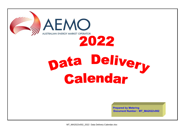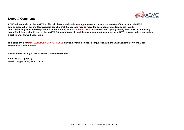

## **Notes & Comments**

**AEMO will normally run the MSATS profile calculations and settlement aggregation process in the evening of the day that, the MDP data delivery cut off occurs. However, it is possible that this process may be moved to accomodate any data issues found or other processing scheduled requirements, therefore this calendar SHOULD NOT be relied upon to specify exactly when MSATS processing is run. Participants should refer to the MSATS Settlement Case id's and the associated run times from the MSATS browser to determine when a particular settlement case is run.**

**This calendar is for MDP DATA DELIVERY PURPOSES only and should be used in conjunction with the 2022 Settlements Calendar for settlement statement issue.**

**Any enquiries relating to this calendar should be directed to**

**1300 236 600 (Option 2) E-Mail : Supporthub@aemo.com.au**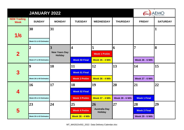|                                   | <b>AEMO</b>            |                                        |                         |                                        |                        |                        |                 |
|-----------------------------------|------------------------|----------------------------------------|-------------------------|----------------------------------------|------------------------|------------------------|-----------------|
| <b>NEM Trading</b><br><b>Week</b> | <b>SUNDAY</b>          | <b>MONDAY</b>                          | <b>TUESDAY</b>          | <b>WEDNESDAY</b>                       | <b>THURSDAY</b>        | <b>FRIDAY</b>          | <b>SATURDAY</b> |
| 1/6                               | 30                     | 31                                     |                         |                                        |                        |                        | $\mathbf{1}$    |
|                                   | Week 31 & 43 Estimates |                                        |                         |                                        |                        |                        |                 |
|                                   | 2                      | $\overline{3}$                         | $\overline{\mathbf{4}}$ | 5                                      | 6                      | $\overline{7}$         | 8               |
| $\overline{\mathbf{2}}$           |                        | <b>New Years Day</b><br><b>Holiday</b> |                         | <b>Week 1 Prelim</b>                   |                        |                        |                 |
|                                   | Week 27 & 39 Estimates |                                        | <b>Week 50 Final</b>    | <b>Week 35 - 4 Mth</b>                 |                        | <b>Week 26 - 6 Mth</b> |                 |
|                                   | 9                      | <b>10</b>                              | 11                      | 12                                     | 13                     | 14                     | 15              |
| 3                                 |                        |                                        | <b>Week 51 Final</b>    |                                        |                        |                        |                 |
|                                   | Week 28 & 40 Estimates |                                        | <b>Week 2 Prelim</b>    | <b>Week 36 - 4 Mth</b>                 |                        | <b>Week 27 - 6 Mth</b> |                 |
|                                   | 16                     | <b>17</b>                              | 18                      | <b>19</b>                              | 20                     | 21                     | 22              |
| 4                                 |                        |                                        | <b>Week 52 Final</b>    |                                        |                        |                        |                 |
|                                   | Week 29 & 41 Estimates |                                        | <b>Week 3 Prelim</b>    | <b>Week 37 - 4 Mth</b>                 | <b>Week 28 - 6 Mth</b> | <b>Week 1 Final</b>    |                 |
|                                   | 23                     | 24                                     | 25                      | 26                                     | 27                     | 28                     | 29              |
| 5                                 |                        |                                        | <b>Week 4 Prelim</b>    | <b>Australia Day</b><br><b>Holiday</b> |                        | <b>Week 2 Final</b>    |                 |
|                                   | Week 30 & 42 Estimates |                                        | <b>Week 38 - 4 Mth</b>  |                                        |                        | <b>Week 29 - 6 Mth</b> |                 |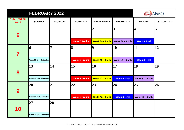|                                   |                        | <b>AEMO</b>   |                      |                        |                        |                         |                 |
|-----------------------------------|------------------------|---------------|----------------------|------------------------|------------------------|-------------------------|-----------------|
| <b>NEM Trading</b><br><b>Week</b> | <b>SUNDAY</b>          | <b>MONDAY</b> | <b>TUESDAY</b>       | <b>WEDNESDAY</b>       | <b>THURSDAY</b>        | <b>FRIDAY</b>           | <b>SATURDAY</b> |
|                                   |                        |               | $\mathbf{1}$         | $\overline{2}$         | 3                      | $\overline{\mathbf{4}}$ | 5               |
| 6                                 |                        |               | <b>Week 5 Prelim</b> | <b>Week 39 - 4 Mth</b> | <b>Week 30 - 6 Mth</b> | <b>Week 3 Final</b>     |                 |
|                                   | 6                      | 7             | 18                   | 19                     | 10                     | 11                      | 12              |
| 7                                 | Week 32 & 44 Estimates |               | <b>Week 6 Prelim</b> | <b>Week 40 - 4 Mth</b> | <b>Week 31 - 6 Mth</b> | <b>Week 4 Final</b>     |                 |
|                                   | 13                     | 14            | <b>15</b>            | <b>16</b>              | 17                     | 18                      | 19              |
| 8                                 |                        |               |                      |                        |                        |                         |                 |
|                                   | Week 33 & 45 Estimates |               | <b>Week 7 Prelim</b> | <b>Week 41 - 4 Mth</b> | <b>Week 5 Final</b>    | <b>Week 32 - 6 Mth</b>  |                 |
|                                   | 20                     | 21            | 22                   | 23                     | 24                     | 25                      | 26              |
| 9                                 |                        |               |                      |                        |                        |                         |                 |
|                                   | Week 34 & 46 Estimates |               | <b>Week 8 Prelim</b> | <b>Week 42 - 4 Mth</b> | <b>Week 6 Final</b>    | <b>Week 33 - 6 Mth</b>  |                 |
|                                   | 27                     | 28            |                      |                        |                        |                         |                 |
| 10                                |                        |               |                      |                        |                        |                         |                 |
|                                   | Week 35 & 47 Estimates |               |                      |                        |                        |                         |                 |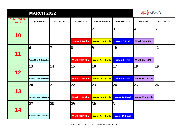|                                   | <b>MARCH 2022</b>      |               |                       |                        |                      |                         |                 |  |
|-----------------------------------|------------------------|---------------|-----------------------|------------------------|----------------------|-------------------------|-----------------|--|
| <b>NEM Trading</b><br><b>Week</b> | <b>SUNDAY</b>          | <b>MONDAY</b> | <b>TUESDAY</b>        | <b>WEDNESDAY</b>       | <b>THURSDAY</b>      | <b>FRIDAY</b>           | <b>SATURDAY</b> |  |
|                                   |                        |               | 1                     | $\overline{2}$         | $\overline{3}$       | $\overline{\mathbf{4}}$ | 5               |  |
| 10                                |                        |               | <b>Week 9 Prelim</b>  | <b>Week 43 - 4 Mth</b> | <b>Week 7 Final</b>  | <b>Week 34- 6 Mth</b>   |                 |  |
|                                   | 6                      | 7             | 8                     | 9                      | <b>10</b>            | 11                      | 12              |  |
| 11                                | Week 36 & 48 Estimates |               | <b>Week 10 Prelim</b> | <b>Week 44 - 4 Mth</b> | <b>Week 8 Final</b>  | <b>Week 35 - 6Mth</b>   |                 |  |
|                                   | 13                     | 14            | 15                    | 16                     | <b>17</b>            | 18                      | 19              |  |
| 12                                | Week 37 & 49 Estimates |               | <b>Week 11 Prelim</b> | <b>Week 45 - 4 Mth</b> | <b>Week 9 Final</b>  | <b>Week 36 - 6 Mth</b>  |                 |  |
|                                   | 20                     | 21            | 22                    | 23                     | 24                   | 25                      | 26              |  |
| 13                                | Week 38 & 50 Estimates |               | <b>Week 12 Prelim</b> | <b>Week 46 - 4 Mth</b> | <b>Week 10 Final</b> | <b>Week 37 - 6 Mth</b>  |                 |  |
|                                   | 27                     | 28            | 29                    | 30                     | 31                   |                         |                 |  |
| 14                                |                        |               |                       |                        |                      |                         |                 |  |
|                                   | Week 39 & 51 Estimates |               | <b>Week 13 Prelim</b> | <b>Week 47 - 4 Mth</b> | <b>Week 11 Final</b> |                         |                 |  |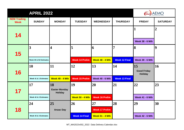|                                   | <b>APRIL 2022</b>      |                                              | <b>AEMO</b>            |                        |                      |                                            |                 |
|-----------------------------------|------------------------|----------------------------------------------|------------------------|------------------------|----------------------|--------------------------------------------|-----------------|
| <b>NEM Trading</b><br><b>Week</b> | <b>SUNDAY</b>          | <b>MONDAY</b>                                | <b>TUESDAY</b>         | <b>WEDNESDAY</b>       | <b>THURSDAY</b>      | <b>FRIDAY</b>                              | <b>SATURDAY</b> |
| 14                                |                        |                                              |                        |                        |                      | I<br><b>Week 38 - 6 Mth</b>                | $\overline{2}$  |
| 15                                | 3                      | $\overline{\mathbf{4}}$                      | 5                      | 6                      | $\overline{7}$       | 8                                          | 9               |
|                                   | Week 40 & 52 Estimates |                                              | <b>Week 14 Prelim</b>  | <b>Week 48 - 4 Mth</b> | <b>Week 12 Final</b> | <b>Week 39 - 6 Mth</b>                     |                 |
| 16                                | 10                     | 11                                           | 12                     | 13                     | 14                   | 15<br><b>Good Friday</b><br><b>Holiday</b> | 16              |
|                                   | Week 41 & 1 Estimates  | <b>Week 49 - 4 Mth</b>                       | <b>Week 15 Prelim</b>  | <b>Week 40 - 6 Mth</b> | <b>Week 13 Final</b> |                                            |                 |
| 17                                | 17                     | 18<br><b>Easter Monday</b><br><b>Holiday</b> | 19                     | 20                     | 21                   | 22                                         | 23              |
|                                   | Week 42 & 2 Estimates  |                                              | <b>Week 50 - 4 Mth</b> | <b>Week 16 Prelim</b>  |                      | <b>Week 41 - 6 Mth</b>                     |                 |
|                                   | 24                     | 25                                           | 26                     | 27                     | 28                   | 29                                         | 30              |
| 18                                |                        | <b>Anzac Day</b>                             |                        | <b>Week 17 Prelim</b>  |                      |                                            |                 |
|                                   | Week 43 & 3 Estimates  |                                              | <b>Week 14 Final</b>   | <b>Week 51 - 4 Mth</b> |                      | <b>Week 42 - 6 Mth</b>                     |                 |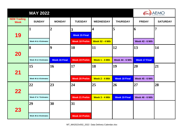|                                   | <b>MAY 2022</b>       |                      |                         | <b>AEMO</b>             |                        |                        |                 |
|-----------------------------------|-----------------------|----------------------|-------------------------|-------------------------|------------------------|------------------------|-----------------|
| <b>NEM Trading</b><br><b>Week</b> | <b>SUNDAY</b>         | <b>MONDAY</b>        | <b>TUESDAY</b>          | <b>WEDNESDAY</b>        | <b>THURSDAY</b>        | <b>FRIDAY</b>          | <b>SATURDAY</b> |
|                                   |                       | $\overline{2}$       | $\overline{\mathbf{3}}$ | $\overline{\mathbf{4}}$ | 5                      | 6                      | 7               |
| 19                                |                       |                      | <b>Week 15 Final</b>    |                         |                        |                        |                 |
|                                   | Week 44 & 4 Estimates |                      | <b>Week 18 Prelim</b>   | <b>Week 52 - 4 Mth</b>  |                        | <b>Week 43 - 6 Mth</b> |                 |
|                                   | 8                     | 9                    | 10                      | 11                      | 12                     | 13                     | 14              |
| <b>20</b>                         |                       |                      |                         |                         |                        |                        |                 |
|                                   | Week 45 & 5 Estimates | <b>Week 16 Final</b> | <b>Week 19 Prelim</b>   | Week 1 - 4 Mth          | <b>Week 44 - 6 Mth</b> | <b>Week 17 Final</b>   |                 |
|                                   | 15                    | 16                   | 17                      | 18                      | 19                     | 20                     | 21              |
| 21                                |                       |                      |                         |                         |                        |                        |                 |
|                                   | Week 46 & 6 Estimates |                      | <b>Week 20 Prelim</b>   | Week 2 - 4 Mth          | <b>Week 18 Final</b>   | <b>Week 45 - 6 Mth</b> |                 |
|                                   | 22                    | 23                   | 24                      | 25                      | 26                     | 27                     | 28              |
| 22                                |                       |                      |                         |                         |                        |                        |                 |
|                                   | Week 47 & 7 Estimates |                      | <b>Week 21 Prelim</b>   | Week 3 - 4 Mth          | <b>Week 19 Final</b>   | <b>Week 46 - 6 Mth</b> |                 |
|                                   | 29                    | 30                   | 31                      |                         |                        |                        |                 |
| 23                                |                       |                      |                         |                         |                        |                        |                 |
|                                   | Week 48 & 8 Estimates |                      | <b>Week 22 Prelim</b>   |                         |                        |                        |                 |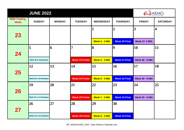|                                   | AEMO                   |               |                       |                  |                      |                         |                 |
|-----------------------------------|------------------------|---------------|-----------------------|------------------|----------------------|-------------------------|-----------------|
| <b>NEM Trading</b><br><b>Week</b> | <b>SUNDAY</b>          | <b>MONDAY</b> | <b>TUESDAY</b>        | <b>WEDNESDAY</b> | <b>THURSDAY</b>      | <b>FRIDAY</b>           | <b>SATURDAY</b> |
| 23                                |                        |               |                       | $\mathbf{1}$     | $\overline{2}$       | $\overline{\mathbf{3}}$ | 4               |
|                                   |                        |               |                       | Week 4 - 4 Mth   | <b>Week 20 Final</b> | <b>Week 47-6 Mth</b>    |                 |
| 24                                | 5                      | 6             | $\overline{7}$        | 8                | $\boldsymbol{9}$     | 10                      | 11              |
|                                   | Week 49 & 9 Estimates  |               | <b>Week 23 Prelim</b> | Week 5 - 4 Mth   | <b>Week 21 Final</b> | <b>Week 48 - 6 Mth</b>  |                 |
| 25                                | 12                     | 13            | 14                    | 15               | 16                   | 17                      | 18              |
|                                   | Week 50 & 10 Estimates |               | <b>Week 24 Prelim</b> | Week 6 - 4 Mth   | <b>Week 22 Final</b> | <b>Week 49 - 6 Mth</b>  |                 |
| 26                                | <b>19</b>              | 20            | 21                    | 22               | 23                   | 24                      | 25              |
|                                   | Week 51 & 11 Estimates |               | <b>Week 25 Prelim</b> | Week 7 - 4 Mth   | <b>Week 23 Final</b> | <b>Week 50 - 6 Mth</b>  |                 |
| 27                                | 26                     | 27            | 28                    | 29               | 30                   |                         |                 |
|                                   | Week 52 & 12 Estimates |               | <b>Week 26 Prelim</b> | Week 8 - 4 Mth   | <b>Week 24 Final</b> |                         |                 |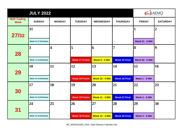|                                   | <b>JULY 2022</b>      |                         |                       | <b>AEMO</b>            |                      |                        |                  |
|-----------------------------------|-----------------------|-------------------------|-----------------------|------------------------|----------------------|------------------------|------------------|
| <b>NEM Trading</b><br><b>Week</b> | <b>SUNDAY</b>         | <b>MONDAY</b>           | <b>TUESDAY</b>        | <b>WEDNESDAY</b>       | <b>THURSDAY</b>      | <b>FRIDAY</b>          | <b>SATURDAY</b>  |
| 27/32                             | 31                    |                         |                       |                        |                      | 1                      | $\boldsymbol{2}$ |
|                                   | Week 5 & 17 Estimates |                         |                       |                        |                      | <b>Week 51 - 6 Mth</b> |                  |
|                                   | 3                     | $\overline{\mathbf{4}}$ | 5                     | 16                     | $\overline{7}$       | 8                      | $\overline{9}$   |
| 28                                |                       |                         |                       |                        |                      |                        |                  |
|                                   | Week 1 & 13 Estimates |                         | <b>Week 27 Prelim</b> | Week 9 - 4 Mth         | <b>Week 25 Final</b> | <b>Week 52 - 6 Mth</b> |                  |
|                                   | 10                    | 11                      | 12                    | $\vert 13 \vert$       | 14                   | 15                     | 16               |
| <b>29</b>                         |                       |                         |                       |                        |                      |                        |                  |
|                                   | Week 2 & 14 Estimates |                         | <b>Week 28 Prelim</b> | <b>Week 10 - 4 Mth</b> | <b>Week 26 Final</b> | Week 1 - 6 Mth         |                  |
|                                   | $\overline{17}$       | 18                      | 19                    | 20                     | 21                   | 22                     | 23               |
| 30                                |                       |                         |                       |                        |                      |                        |                  |
|                                   | Week 3 & 15 Estimates |                         | <b>Week 29 Prelim</b> | <b>Week 11 - 4 Mth</b> | <b>Week 27 Final</b> | Week 2 - 6 Mth         |                  |
|                                   | 24                    | 25                      | 26                    | 27                     | 28                   | 29                     | 30               |
| 31                                |                       |                         |                       |                        |                      |                        |                  |
|                                   | Week 4 & 16 Estimates |                         | <b>Week 30 Prelim</b> | <b>Week 12 - 4 Mth</b> | <b>Week 28 Final</b> | Week 3 - 6 Mth         |                  |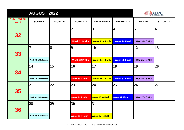|                                   | <b>AUGUST 2022</b><br>AEMO |               |                             |                                     |                            |                      |                 |  |  |
|-----------------------------------|----------------------------|---------------|-----------------------------|-------------------------------------|----------------------------|----------------------|-----------------|--|--|
| <b>NEM Trading</b><br><b>Week</b> | <b>SUNDAY</b>              | <b>MONDAY</b> | <b>TUESDAY</b>              | <b>WEDNESDAY</b>                    | <b>THURSDAY</b>            | <b>FRIDAY</b>        | <b>SATURDAY</b> |  |  |
| 32                                |                            | 1             | $\overline{2}$              | $\overline{\mathbf{3}}$             | 4                          | 5                    | 6               |  |  |
| 33                                | 7                          | 8             | <b>Week 31 Prelim</b><br>19 | <b>Week 13 - 4 Mth</b><br><b>10</b> | <b>Week 29 Final</b><br>11 | Week 4 - 6 Mth<br>12 | 13              |  |  |
|                                   | Week 6 & 18 Estimates      |               | <b>Week 32 Prelim</b>       | <b>Week 14 - 4 Mth</b>              | <b>Week 30 Final</b>       | Week 5 - 6 Mth       |                 |  |  |
| 34                                | 14                         | 15            | <b>16</b>                   | 17                                  | 18                         | 19                   | 20              |  |  |
|                                   | Week 7 & 19 Estimates      |               | <b>Week 33 Prelim</b>       | <b>Week 15 - 4 Mth</b>              | <b>Week 31 Final</b>       | Week 6 - 6 Mth       |                 |  |  |
| 35                                | 21                         | 22            | 23                          | 24                                  | 25                         | 26                   | 27              |  |  |
|                                   | Week 8 & 20 Estimates      |               | <b>Week 34 Prelim</b>       | Week 16 - 4 Mth                     | <b>Week 32 Final</b>       | Week 7 - 6 Mth       |                 |  |  |
| 36                                | 28                         | 29            | 30                          | 31                                  |                            |                      |                 |  |  |
|                                   | Week 9 & 21 Estimates      |               | <b>Week 35 Prelim</b>       | <b>Week 17 - 4 Mth</b>              |                            |                      |                 |  |  |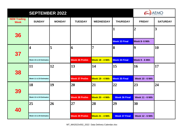|                                   | <b>AEMO</b>             |               |                       |                        |                      |                        |                 |
|-----------------------------------|-------------------------|---------------|-----------------------|------------------------|----------------------|------------------------|-----------------|
| <b>NEM Trading</b><br><b>Week</b> | <b>SUNDAY</b>           | <b>MONDAY</b> | <b>TUESDAY</b>        | <b>WEDNESDAY</b>       | <b>THURSDAY</b>      | <b>FRIDAY</b>          | <b>SATURDAY</b> |
|                                   |                         |               |                       |                        | 1                    | $\boldsymbol{2}$       | 3               |
| 36                                |                         |               |                       |                        | <b>Week 33 Final</b> | Week 8-6 Mth           |                 |
|                                   | $\overline{\mathbf{4}}$ | 5             | 6                     | 7                      | 8                    | $\boldsymbol{9}$       | <b>10</b>       |
| 37                                | Week 10 & 22 Estimates  |               | <b>Week 36 Prelim</b> | <b>Week 18 - 4 Mth</b> | <b>Week 34 Final</b> | Week 9 - 6 Mth         |                 |
|                                   | 11                      | 12            | 13                    | 14                     | 15                   | 16                     | 17              |
| 38                                | Week 11 & 23 Estimates  |               | <b>Week 37 Prelim</b> | <b>Week 19 - 4 Mth</b> | <b>Week 35 Final</b> | <b>Week 10 - 6 Mth</b> |                 |
|                                   | 18                      | 19            | 20                    | 21                     | 22                   | 23                     | 24              |
| 39                                | Week 12 & 24 Estimates  |               | <b>Week 38 Prelim</b> | <b>Week 20 - 4 Mth</b> | <b>Week 36 Final</b> | <b>Week 11 - 6 Mth</b> |                 |
|                                   | 25                      | 26            | 27                    | 28                     | 29                   | 30                     |                 |
| 40                                | Week 13 & 25 Estimates  |               | <b>Week 39 Prelim</b> | <b>Week 21 - 4 Mth</b> | <b>Week 37 Final</b> | <b>Week 12 - 6 Mth</b> |                 |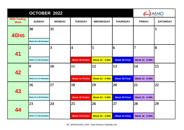|                                   | OCTOBER 2022           |               | <b>AEMO</b>           |                        |                      |                        |                 |
|-----------------------------------|------------------------|---------------|-----------------------|------------------------|----------------------|------------------------|-----------------|
| <b>NEM Trading</b><br><b>Week</b> | <b>SUNDAY</b>          | <b>MONDAY</b> | <b>TUESDAY</b>        | <b>WEDNESDAY</b>       | <b>THURSDAY</b>      | <b>FRIDAY</b>          | <b>SATURDAY</b> |
| 40/45                             | 30                     | 31            |                       |                        |                      |                        |                 |
|                                   | Week 18 & 30 Estimates |               |                       |                        |                      |                        |                 |
| 41                                | $\overline{2}$         | 3             | 4                     | 5                      | 6                    | 7                      | 8               |
|                                   | Week 14 & 26 Estimates |               | <b>Week 40 Prelim</b> | <b>Week 22 - 4 Mth</b> | <b>Week 38 Final</b> | <b>Week 13 - 6 Mth</b> |                 |
| 42                                | 9                      | 10            | <b>11</b>             | 12                     | $\vert 13 \vert$     | 14                     | 15              |
|                                   | Week 15 & 27 Estimates |               | <b>Week 41 Prelim</b> | <b>Week 23 - 4 Mth</b> | <b>Week 39 Final</b> | <b>Week 14 - 6 Mth</b> |                 |
| 43                                | <b>16</b>              | 17            | 18                    | <b>19</b>              | 20                   | 21                     | 22              |
|                                   | Week 16 & 28 Estimates |               | <b>Week 42 Prelim</b> | <b>Week 24 - 4 Mth</b> | <b>Week 40 Final</b> | <b>Week 15 - 6 Mth</b> |                 |
|                                   | 23                     | 24            | 25                    | 26                     | 27                   | 28                     | 29              |
| 44                                |                        |               |                       |                        |                      |                        |                 |
|                                   | Week 17 & 29 Estimates |               | <b>Week 43 Prelim</b> | <b>Week 25 - 4 Mth</b> | <b>Week 41 Final</b> | <b>Week 16 - 6 Mth</b> |                 |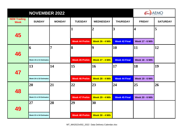|                                   | <b>AEMO</b>            |                |                       |                        |                      |                         |                 |
|-----------------------------------|------------------------|----------------|-----------------------|------------------------|----------------------|-------------------------|-----------------|
| <b>NEM Trading</b><br><b>Week</b> | <b>SUNDAY</b>          | <b>MONDAY</b>  | <b>TUESDAY</b>        | <b>WEDNESDAY</b>       | <b>THURSDAY</b>      | <b>FRIDAY</b>           | <b>SATURDAY</b> |
| 45                                |                        |                | $\mathbf{1}$          | $\overline{2}$         | 3                    | $\overline{\mathbf{4}}$ | 5               |
|                                   |                        |                | <b>Week 44 Prelim</b> | <b>Week 26 - 4 Mth</b> | <b>Week 42 Final</b> | <b>Week 17 - 6 Mth</b>  |                 |
|                                   | 6                      | $\overline{7}$ | 8                     | $\overline{9}$         | 10                   | 11                      | 12              |
| 46                                | Week 19 & 31 Estimates |                | <b>Week 45 Prelim</b> | <b>Week 27 - 4 Mth</b> | <b>Week 43 Final</b> | <b>Week 18 - 6 Mth</b>  |                 |
|                                   | 13                     | 14             | 15                    | 16                     | 17                   | 18                      | 19              |
| 47                                | Week 20 & 32 Estimates |                | <b>Week 46 Prelim</b> | <b>Week 28 - 4 Mth</b> | <b>Week 44 Final</b> | <b>Week 19 - 6 Mth</b>  |                 |
|                                   | 20                     | 21             | 22                    | 23                     | 24                   | 25                      | 26              |
| 48                                | Week 21 & 33 Estimates |                | <b>Week 47 Prelim</b> | <b>Week 29 - 4 Mth</b> | <b>Week 45 Final</b> | <b>Week 20 - 6 Mth</b>  |                 |
|                                   | 27                     | 28             | 29                    | 30                     |                      |                         |                 |
| 49                                | Week 22 & 34 Estimates |                | <b>Week 48 Prelim</b> | <b>Week 30 - 4 Mth</b> |                      |                         |                 |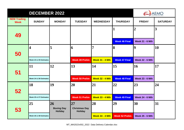|                                   | <b>DECEMBER 2022</b>    |                                                        | AEMO                                          |                        |                       |                                          |                         |
|-----------------------------------|-------------------------|--------------------------------------------------------|-----------------------------------------------|------------------------|-----------------------|------------------------------------------|-------------------------|
| <b>NEM Trading</b><br><b>Week</b> | <b>SUNDAY</b>           | <b>MONDAY</b>                                          | <b>TUESDAY</b>                                | <b>WEDNESDAY</b>       | <b>THURSDAY</b>       | <b>FRIDAY</b>                            | <b>SATURDAY</b>         |
| 49                                |                         |                                                        |                                               |                        | <b>Week 46 Final</b>  | $\overline{2}$<br><b>Week 21 - 6 Mth</b> | $\overline{\mathbf{3}}$ |
| 50                                | $\overline{\mathbf{4}}$ | 5                                                      | 6                                             | $\overline{7}$         | 8                     | 9                                        | 10                      |
|                                   | Week 23 & 35 Estimates  |                                                        | <b>Week 49 Prelim</b>                         | <b>Week 31 - 4 Mth</b> | <b>Week 47 Final</b>  | <b>Week 22 - 6 Mth</b>                   |                         |
| 51                                | 11                      | 12                                                     | 13                                            | 14                     | 15                    | 16                                       | 17                      |
|                                   | Week 24 & 36 Estimates  |                                                        | <b>Week 50 Prelim</b>                         | <b>Week 32 - 4 Mth</b> | <b>Week 48 Final</b>  | <b>Week 23 - 6 Mth</b>                   |                         |
| 52                                | <b>18</b>               | 19                                                     | 20                                            | 21                     | 22                    | 23                                       | 24                      |
|                                   | Week 25 & 37 Estimates  |                                                        | <b>Week 51 Prelim</b>                         | <b>Week 33 - 4 Mth</b> | <b>Week 49 Final</b>  | <b>Week 24 - 6 Mth</b>                   |                         |
| 53                                | 25                      | $\overline{26}$<br><b>Boxing Day</b><br><b>Holiday</b> | 27 <br><b>Christmas Day</b><br><b>Holiday</b> | 28                     | 29                    | 30                                       | 31                      |
|                                   | Week 26 & 38 Estimates  |                                                        |                                               | <b>Week 34 - 4 Mth</b> | <b>Week 52 Prelim</b> | <b>Week 25 - 6 Mth</b>                   |                         |